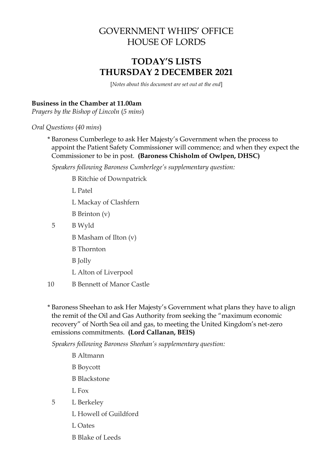# GOVERNMENT WHIPS' OFFICE HOUSE OF LORDS

# **TODAY'S LISTS THURSDAY 2 DECEMBER 2021**

[*Notes about this document are set out at the end*]

### **Business in the Chamber at 11.00am**

*Prayers by the Bishop of Lincoln* (*5 mins*)

*Oral Questions* (*40 mins*)

\* Baroness Cumberlege to ask Her Majesty's Government when the process to appoint the Patient Safety Commissioner will commence; and when they expect the Commissioner to be in post. **(Baroness Chisholm of Owlpen, DHSC)**

*Speakers following Baroness Cumberlege's supplementary question:*

B Ritchie of Downpatrick

L Patel

- L Mackay of Clashfern
- B Brinton (v)
- 5 B Wyld
	- B Masham of Ilton (v)
	- B Thornton
	- B Jolly
	- L Alton of Liverpool
- 10 B Bennett of Manor Castle

\* Baroness Sheehan to ask Her Majesty's Government what plans they have to align the remit of the Oil and Gas Authority from seeking the "maximum economic recovery" of North Sea oil and gas, to meeting the United Kingdom's net-zero emissions commitments. **(Lord Callanan, BEIS)**

*Speakers following Baroness Sheehan's supplementary question:*

- B Altmann
- B Boycott
- B Blackstone
- L Fox
- 5 L Berkeley
	- L Howell of Guildford
	- L Oates
	- B Blake of Leeds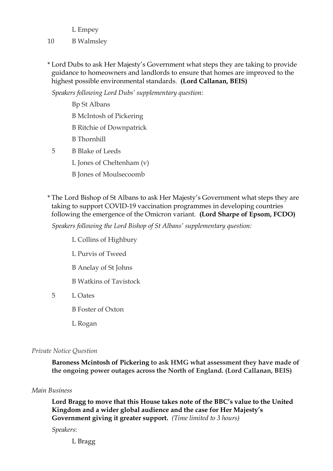L Empey

### 10 B Walmsley

\* Lord Dubs to ask Her Majesty's Government what steps they are taking to provide guidance to homeowners and landlords to ensure that homes are improved to the highest possible environmental standards. **(Lord Callanan, BEIS)**

*Speakers following Lord Dubs' supplementary question:*

Bp St Albans B McIntosh of Pickering B Ritchie of Downpatrick B Thornhill 5 B Blake of Leeds L Jones of Cheltenham (v)

B Jones of Moulsecoomb

\* The Lord Bishop of St Albans to ask Her Majesty's Government what steps they are taking to support COVID-19 vaccination programmes in developing countries following the emergence of the Omicron variant. **(Lord Sharpe of Epsom, FCDO)**

*Speakers following the Lord Bishop of St Albans' supplementary question:*

- L Collins of Highbury
- L Purvis of Tweed
- B Anelay of St Johns
- B Watkins of Tavistock
- 5 L Oates
	- B Foster of Oxton
	- L Rogan

#### *Private Notice Question*

**Baroness Mcintosh of Pickering to ask HMG what assessment they have made of the ongoing power outages across the North of England. (Lord Callanan, BEIS)**

#### *Main Business*

**Lord Bragg to move that this House takes note of the BBC's value to the United Kingdom and a wider global audience and the case for Her Majesty's Government giving it greater support.** *(Time limited to 3 hours)*

*Speakers*:

L Bragg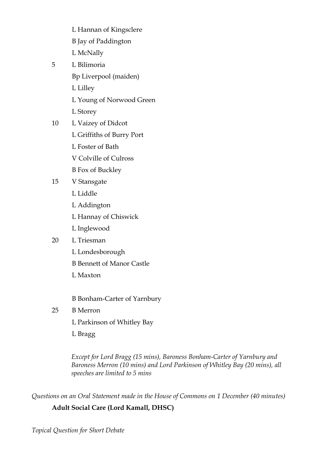- L Hannan of Kingsclere
- B Jay of Paddington
- L McNally
- 5 L Bilimoria
	- Bp Liverpool (maiden)
	- L Lilley
	- L Young of Norwood Green
	- L Storey
- 10 L Vaizey of Didcot
	- L Griffiths of Burry Port
	- L Foster of Bath
	- V Colville of Culross
	- B Fox of Buckley
- 15 V Stansgate
	- L Liddle
	- L Addington
	- L Hannay of Chiswick
	- L Inglewood

# 20 L Triesman

- L Londesborough
- B Bennett of Manor Castle
- L Maxton

B Bonham-Carter of Yarnbury

# 25 B Merron

- L Parkinson of Whitley Bay
- L Bragg

*Except for Lord Bragg (15 mins), Baroness Bonham-Carter of Yarnbury and Baroness Merron (10 mins) and Lord Parkinson of Whitley Bay (20 mins), all speeches are limited to 5 mins*

*Questions on an Oral Statement made in the House of Commons on 1 December (40 minutes)*

# **Adult Social Care (Lord Kamall, DHSC)**

*Topical Question for Short Debate*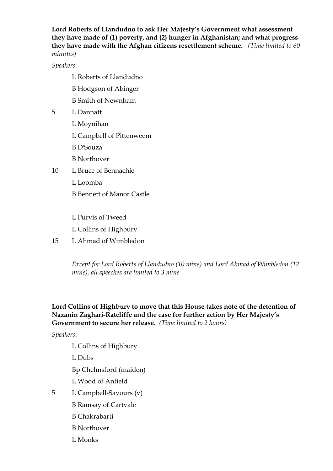**Lord Roberts of Llandudno to ask Her Majesty's Government what assessment they have made of (1) poverty, and (2) hunger in Afghanistan; and what progress they have made with the Afghan citizens resettlement scheme.** *(Time limited to 60 minutes)*

*Speakers*:

- L Roberts of Llandudno
- B Hodgson of Abinger
- B Smith of Newnham
- 5 L Dannatt
	- L Moynihan
	- L Campbell of Pittenweem
	- B D'Souza
	- B Northover
- 10 L Bruce of Bennachie
	- L Loomba
	- B Bennett of Manor Castle
	- L Purvis of Tweed
	- L Collins of Highbury
- 15 L Ahmad of Wimbledon

*Except for Lord Roberts of Llandudno (10 mins) and Lord Ahmad of Wimbledon (12 mins), all speeches are limited to 3 mins*

#### **Lord Collins of Highbury to move that this House takes note of the detention of Nazanin Zaghari-Ratcliffe and the case for further action by Her Majesty's Government to secure her release.** *(Time limited to 2 hours)*

*Speakers*:

- L Collins of Highbury
- L Dubs

Bp Chelmsford (maiden)

- L Wood of Anfield
- 5 L Campbell-Savours (v)
	- B Ramsay of Cartvale
	- B Chakrabarti
	- B Northover
	- L Monks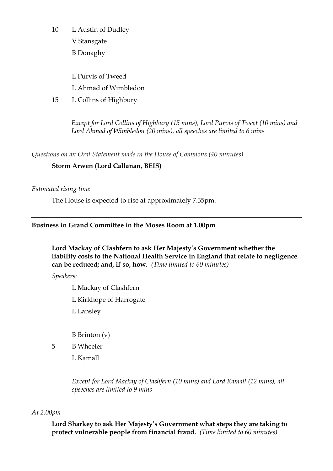10 L Austin of Dudley

V Stansgate

B Donaghy

L Purvis of Tweed

L Ahmad of Wimbledon

15 L Collins of Highbury

*Except for Lord Collins of Highbury (15 mins), Lord Purvis of Tweet (10 mins) and Lord Ahmad of Wimbledon (20 mins), all speeches are limited to 6 mins*

*Questions on an Oral Statement made in the House of Commons (40 minutes)*

## **Storm Arwen (Lord Callanan, BEIS)**

#### *Estimated rising time*

The House is expected to rise at approximately 7.35pm.

## **Business in Grand Committee in the Moses Room at 1.00pm**

**Lord Mackay of Clashfern to ask Her Majesty's Government whether the liability costs to the National Health Service in England that relate to negligence can be reduced; and, if so, how.** *(Time limited to 60 minutes)*

*Speakers*:

L Mackay of Clashfern

L Kirkhope of Harrogate

L Lansley

B Brinton (v)

5 B Wheeler

L Kamall

*Except for Lord Mackay of Clashfern (10 mins) and Lord Kamall (12 mins), all speeches are limited to 9 mins*

#### *At 2.00pm*

**Lord Sharkey to ask Her Majesty's Government what steps they are taking to protect vulnerable people from financial fraud.** *(Time limited to 60 minutes)*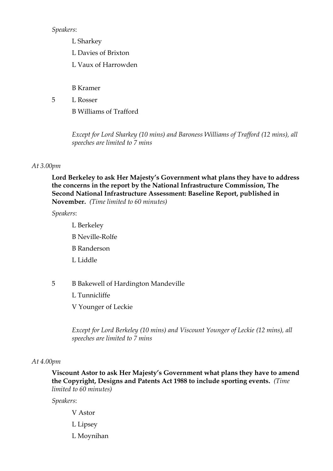*Speakers*:

- L Sharkey
- L Davies of Brixton
- L Vaux of Harrowden

B Kramer

5 L Rosser

B Williams of Trafford

*Except for Lord Sharkey (10 mins) and Baroness Williams of Trafford (12 mins), all speeches are limited to 7 mins*

#### *At 3.00pm*

**Lord Berkeley to ask Her Majesty's Government what plans they have to address the concerns in the report by the National Infrastructure Commission, The Second National Infrastructure Assessment: Baseline Report, published in November.** *(Time limited to 60 minutes)*

*Speakers*:

- L Berkeley B Neville-Rolfe B Randerson L Liddle
- 5 B Bakewell of Hardington Mandeville
	- L Tunnicliffe

V Younger of Leckie

*Except for Lord Berkeley (10 mins) and Viscount Younger of Leckie (12 mins), all speeches are limited to 7 mins*

#### *At 4.00pm*

**Viscount Astor to ask Her Majesty's Government what plans they have to amend the Copyright, Designs and Patents Act 1988 to include sporting events.** *(Time limited to 60 minutes)*

*Speakers*:

- V Astor
- L Lipsey
- L Moynihan